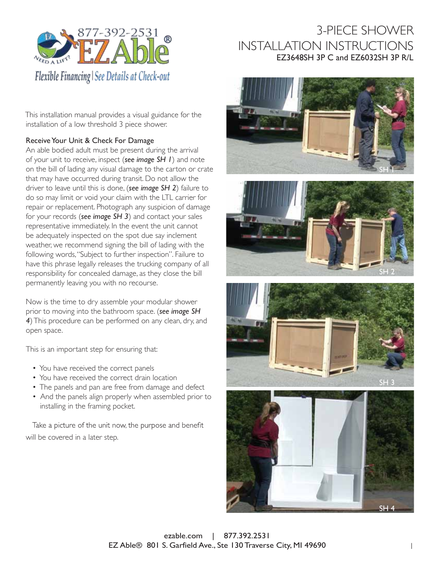

This installation manual provides a visual guidance for the installation of a low threshold 3 piece shower.

### Receive Your Unit & Check For Damage

An able bodied adult must be present during the arrival of your unit to receive, inspect (*see image SH 1*) and note on the bill of lading any visual damage to the carton or crate that may have occurred during transit. Do not allow the driver to leave until this is done, (*see image SH 2*) failure to do so may limit or void your claim with the LTL carrier for repair or replacement. Photograph any suspicion of damage for your records (*see image SH 3*) and contact your sales representative immediately. In the event the unit cannot be adequately inspected on the spot due say inclement weather, we recommend signing the bill of lading with the following words,"Subject to further inspection". Failure to have this phrase legally releases the trucking company of all responsibility for concealed damage, as they close the bill permanently leaving you with no recourse.

Now is the time to dry assemble your modular shower prior to moving into the bathroom space. (*see image SH 4*)This procedure can be performed on any clean, dry, and open space.

This is an important step for ensuring that:

- You have received the correct panels
- You have received the correct drain location
- The panels and pan are free from damage and defect
- And the panels align properly when assembled prior to installing in the framing pocket.

Take a picture of the unit now, the purpose and benefit will be covered in a later step.









ezable.com | 877.392.2531 EZ Able® 801 S. Garfield Ave., Ste 130 Traverse City, MI 49690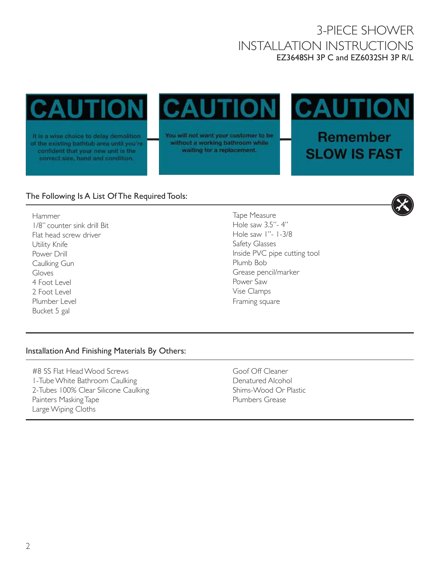CAL

It is a wise choice to delay demolition of the existing bathtub area until you're confident that your new unit is the correct size, hand and condition.

You will not want your customer to be without a working bathroom while waiting for a replacement.

CА

Remember **SLOW IS FAST** 

### The Following Is A List Of The Required Tools:

Hammer 1/8" counter sink drill Bit Flat head screw driver Utility Knife Power Drill Caulking Gun Gloves 4 Foot Level 2 Foot Level Plumber Level Bucket 5 gal

Tape Measure Hole saw 3.5"- 4" Hole saw 1"- 1-3/8 Safety Glasses Inside PVC pipe cutting tool Plumb Bob Grease pencil/marker Power Saw Vise Clamps Framing square

#### Installation And Finishing Materials By Others:

#8 SS Flat Head Wood Screws 1-Tube White Bathroom Caulking 2-Tubes 100% Clear Silicone Caulking Painters Masking Tape Large Wiping Cloths

Goof Off Cleaner Denatured Alcohol Shims-Wood Or Plastic Plumbers Grease

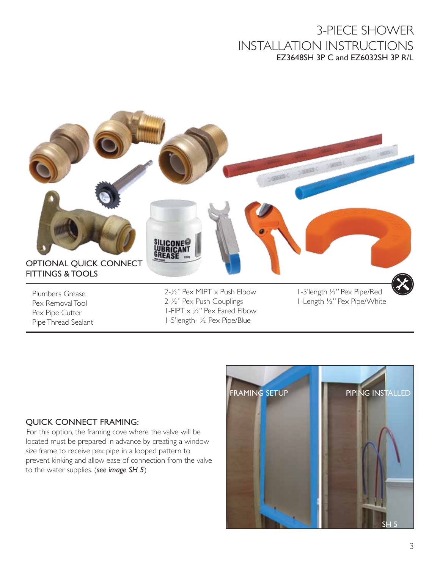

#### QUICK CONNECT FRAMING:

For this option, the framing cove where the valve will be located must be prepared in advance by creating a window size frame to receive pex pipe in a looped pattern to prevent kinking and allow ease of connection from the valve to the water supplies. (*see image SH 5*)

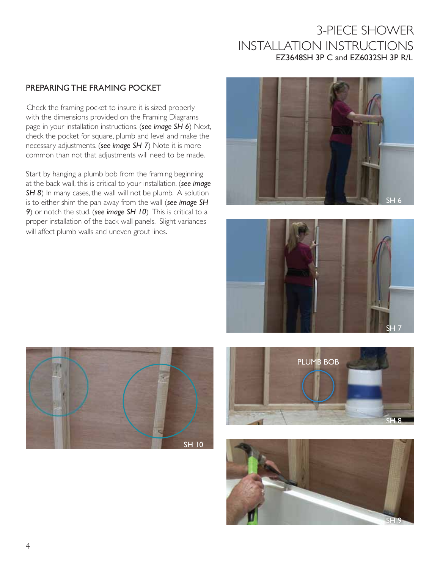#### PREPARING THE FRAMING POCKET

Check the framing pocket to insure it is sized properly with the dimensions provided on the Framing Diagrams page in your installation instructions. (*see image SH 6*) Next, check the pocket for square, plumb and level and make the necessary adjustments. (*see image SH 7*) Note it is more common than not that adjustments will need to be made.

Start by hanging a plumb bob from the framing beginning at the back wall, this is critical to your installation. (*see image*  **SH 8**) In many cases, the wall will not be plumb. A solution is to either shim the pan away from the wall (*see image SH 9*) or notch the stud. (*see image SH 10*) This is critical to a proper installation of the back wall panels. Slight variances will affect plumb walls and uneven grout lines.









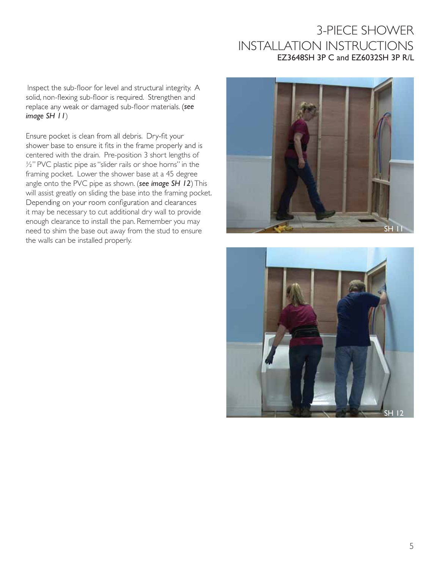Inspect the sub-floor for level and structural integrity. A solid, non-flexing sub-floor is required. Strengthen and replace any weak or damaged sub-floor materials. (see *image SH 11*)

Ensure pocket is clean from all debris. Dry-fit your shower base to ensure it fits in the frame properly and is centered with the drain. Pre-position 3 short lengths of ½" PVC plastic pipe as"slider rails or shoe horns" in the framing pocket. Lower the shower base at a 45 degree angle onto the PVC pipe as shown. (*see image SH 12*)This will assist greatly on sliding the base into the framing pocket.<br>Depending on your room configuration and clearances it may be necessary to cut additional dry wall to provide enough clearance to install the pan. Remember you may need to shim the base out away from the stud to ensure the walls can be installed properly.



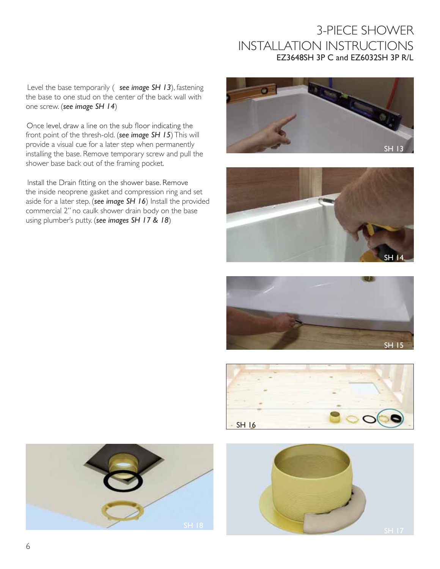Level the base temporarily ( *see image SH 13*), fastening the base to one stud on the center of the back wall with one screw. (*see image SH 14*)

Once level, draw a line on the sub floor indicating the front point of the thresh-old. (*see image SH 15*)This will provide a visual cue for a later step when permanently installing the base. Remove temporary screw and pull the shower base back out of the framing pocket.

Install the Drain fitting on the shower base. Remove the inside neoprene gasket and compression ring and set aside for a later step. (*see image SH 16*) Install the provided commercial 2" no caulk shower drain body on the base using plumber's putty. (*see images SH 17 & 18*)











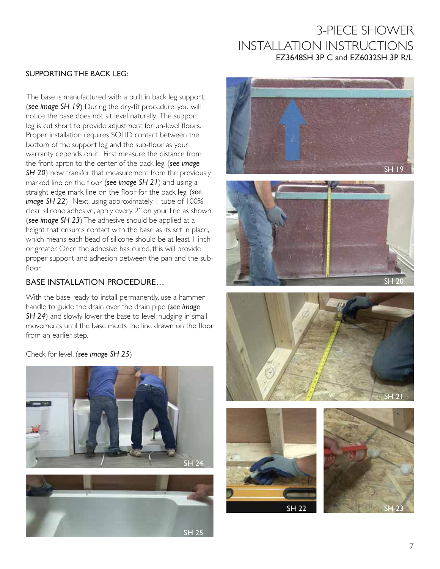#### SUPPORTING THE BACK LEG:

The base is manufactured with a built in back leg support. (see image SH 19) During the dry-fit procedure, you will notice the base does not sit level naturally. The support leg is cut short to provide adjustment for un-level floors. Proper installation requires SOLID contact between the bottom of the support leg and the sub-floor as your warranty depends on it. First measure the distance from the front apron to the center of the back leg, (*see image*  **SH 20**) now transfer that measurement from the previously marked line on the floor (see image SH 21) and using a straight edge mark line on the floor for the back leg. (see *image SH 22*) Next, using approximately 1 tube of 100% clear silicone adhesive, apply every 2" on your line as shown. (*see image SH 23*)The adhesive should be applied at a height that ensures contact with the base as its set in place, which means each bead of silicone should be at least I inch or greater. Once the adhesive has cured, this will provide proper support and adhesion between the pan and the subfloor.

#### BASE INSTALLATION PROCEDURE...

With the base ready to install permanently, use a hammer handle to guide the drain over the drain pipe (*see image*  **SH 24**) and slowly lower the base to level, nudging in small movements until the base meets the line drawn on the floor from an earlier step.

Check for level. (*see image SH 25*)













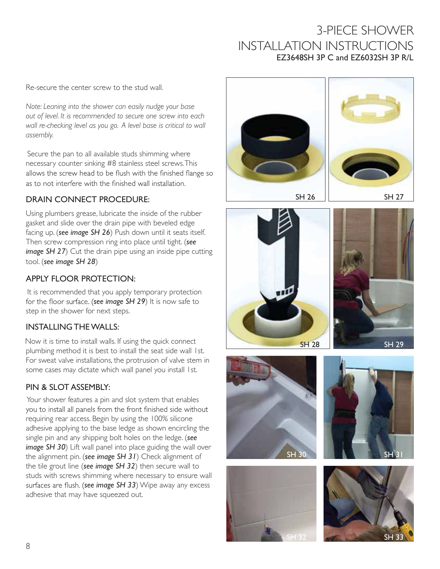Re-secure the center screw to the stud wall.

*Note: Leaning into the shower can easily nudge your base out of level. It is recommended to secure one screw into each wall re-checking level as you go. A level base is critical to wall assembly.*

Secure the pan to all available studs shimming where necessary counter sinking #8 stainless steel screws.This allows the screw head to be flush with the finished flange so as to not interfere with the finished wall installation.

### DRAIN CONNECT PROCEDURE:

Using plumbers grease, lubricate the inside of the rubber gasket and slide over the drain pipe with beveled edge facing up. (*see image SH 26*) Push down until it seats itself. Then screw compression ring into place until tight. (*see image SH 27*) Cut the drain pipe using an inside pipe cutting tool. (*see image SH 28*)

### APPLY FLOOR PROTECTION:

It is recommended that you apply temporary protection for the floor surface. (see *image SH 29*) It is now safe to step in the shower for next steps.

### INSTALLING THEWALLS:

Now it is time to install walls. If using the quick connect plumbing method it is best to install the seat side wall 1st. For sweat valve installations, the protrusion of valve stem in some cases may dictate which wall panel you install 1st.

### PIN & SLOT ASSEMBLY:

Your shower features a pin and slot system that enables<br>you to install all panels from the front finished side without requiring rear access. Begin by using the 100% silicone adhesive applying to the base ledge as shown encircling the single pin and any shipping bolt holes on the ledge. (*see image SH 30*) Lift wall panel into place guiding the wall over the alignment pin. (*see image SH 31*) Check alignment of the tile grout line (*see image SH 32*) then secure wall to studs with screws shimming where necessary to ensure wall surfaces are flush. (see image SH 33) Wipe away any excess adhesive that may have squeezed out.











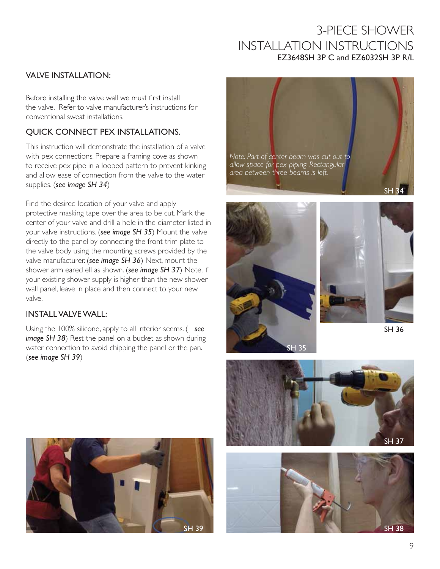#### VALVE INSTALLATION:

Before installing the valve wall we must first install the valve. Refer to valve manufacturer's instructions for conventional sweat installations.

#### QUICK CONNECT PEX INSTALLATIONS.

This instruction will demonstrate the installation of a valve with pex connections. Prepare a framing cove as shown to receive pex pipe in a looped pattern to prevent kinking and allow ease of connection from the valve to the water supplies. (*see image SH 34*)

Find the desired location of your valve and apply protective masking tape over the area to be cut. Mark the center of your valve and drill a hole in the diameter listed in your valve instructions. (*see image SH 35*) Mount the valve directly to the panel by connecting the front trim plate to the valve body using the mounting screws provided by the valve manufacturer. (*see image SH 36*) Next, mount the shower arm eared ell as shown. (*see image SH 37*) Note, if your existing shower supply is higher than the new shower wall panel, leave in place and then connect to your new valve.

#### INSTALL VALVE WALL:

Using the 100% silicone, apply to all interior seems. ( *see image SH 38*) Rest the panel on a bucket as shown during water connection to avoid chipping the panel or the pan. (*see image SH 39*)













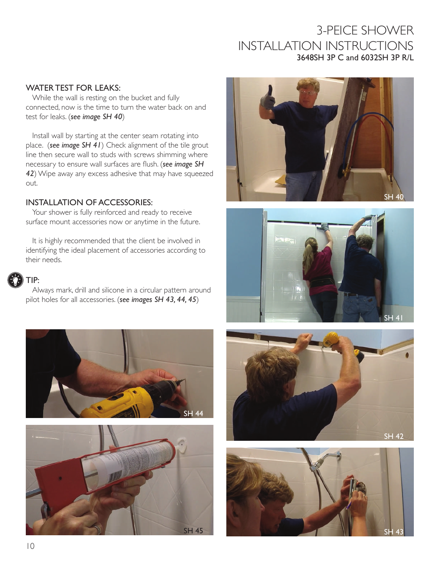#### WATER TEST FOR LEAKS:

While the wall is resting on the bucket and fully connected, now is the time to turn the water back on and test for leaks. (*see image SH 40*)

Install wall by starting at the center seam rotating into place. (*see image SH 41*) Check alignment of the tile grout line then secure wall to studs with screws shimming where necessary to ensure wall surfaces are flush. (*see image SH 42*) Wipe away any excess adhesive that may have squeezed out.

#### INSTALLATION OF ACCESSORIES:

Your shower is fully reinforced and ready to receive surface mount accessories now or anytime in the future.

It is highly recommended that the client be involved in identifying the ideal placement of accessories according to their needs.

# TIP:

Always mark, drill and silicone in a circular pattern around pilot holes for all accessories. (*see images SH 43, 44, 45*)









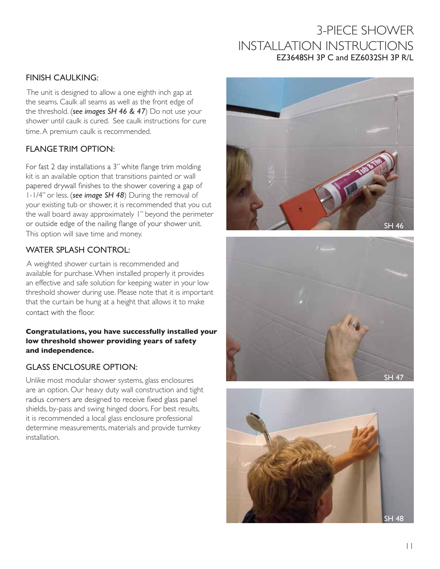#### FINISH CAULKING:

The unit is designed to allow a one eighth inch gap at the seams. Caulk all seams as well as the front edge of the threshold. (*see images SH 46 & 47*) Do not use your shower until caulk is cured. See caulk instructions for cure time.A premium caulk is recommended.

### FLANGE TRIM OPTION:

For fast 2 day installations a 3" white flange trim molding kit is an available option that transitions painted or wall papered drywall finishes to the shower covering a gap of 1-1/4" or less. (*see image SH 48*) During the removal of your existing tub or shower, it is recommended that you cut the wall board away approximately 1" beyond the perimeter or outside edge of the nailing flange of your shower unit. This option will save time and money.

### WATER SPLASH CONTROL:

A weighted shower curtain is recommended and available for purchase.When installed properly it provides an effective and safe solution for keeping water in your low threshold shower during use. Please note that it is important that the curtain be hung at a height that allows it to make contact with the floor.

#### **Congratulations, you have successfully installed your low threshold shower providing years of safety and independence.**

### GLASS ENCLOSURE OPTION:

Unlike most modular shower systems, glass enclosures are an option. Our heavy duty wall construction and tight radius corners are designed to receive fixed glass panel shields, by-pass and swing hinged doors. For best results, it is recommended a local glass enclosure professional determine measurements, materials and provide turnkey installation.





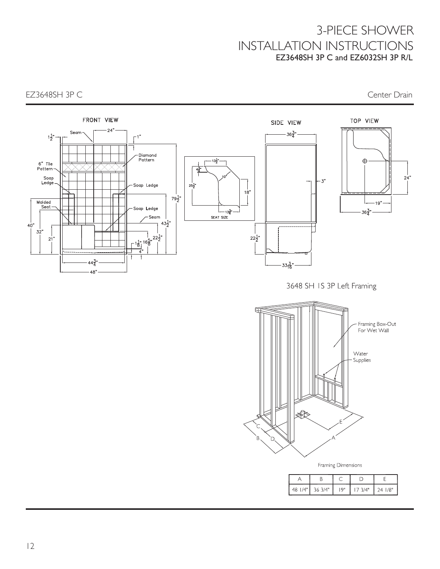EZ3648SH 3P C CHER CHARGE CONTROLLER CONTROLLER CONTROLLER CONTROLLER CONTROLLER CONTROLLER CONTROLLER CONTROLLER CONTROLLER CONTROLLER CONTROLLER CONTROLLER CONTROLLER CONTROLLER CONTROLLER CONTROLLER CONTROLLER CONTROLLE